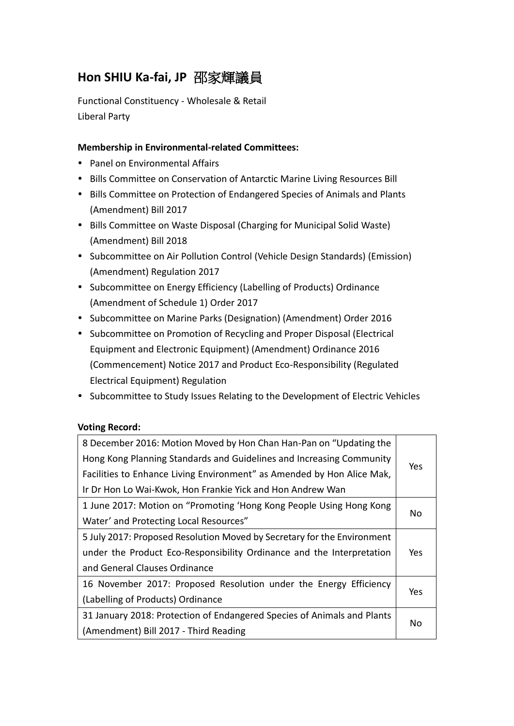# **Hon SHIU Ka-fai, JP** 邵家輝議員

Functional Constituency - Wholesale & Retail Liberal Party

## **Membership in Environmental-related Committees:**

- Panel on Environmental Affairs
- Bills Committee on Conservation of Antarctic Marine Living Resources Bill
- Bills Committee on Protection of Endangered Species of Animals and Plants (Amendment) Bill 2017
- Bills Committee on Waste Disposal (Charging for Municipal Solid Waste) (Amendment) Bill 2018
- Subcommittee on Air Pollution Control (Vehicle Design Standards) (Emission) (Amendment) Regulation 2017
- Subcommittee on Energy Efficiency (Labelling of Products) Ordinance (Amendment of Schedule 1) Order 2017
- Subcommittee on Marine Parks (Designation) (Amendment) Order 2016
- Subcommittee on Promotion of Recycling and Proper Disposal (Electrical Equipment and Electronic Equipment) (Amendment) Ordinance 2016 (Commencement) Notice 2017 and Product Eco-Responsibility (Regulated Electrical Equipment) Regulation
- Subcommittee to Study Issues Relating to the Development of Electric Vehicles

### **Voting Record:**

| 8 December 2016: Motion Moved by Hon Chan Han-Pan on "Updating the            |     |
|-------------------------------------------------------------------------------|-----|
| Hong Kong Planning Standards and Guidelines and Increasing Community          | Yes |
| Facilities to Enhance Living Environment" as Amended by Hon Alice Mak,        |     |
| Ir Dr Hon Lo Wai-Kwok, Hon Frankie Yick and Hon Andrew Wan                    |     |
| 1 June 2017: Motion on "Promoting 'Hong Kong People Using Hong Kong           |     |
| Water' and Protecting Local Resources"                                        | No  |
| 5 July 2017: Proposed Resolution Moved by Secretary for the Environment       |     |
| under the Product Eco-Responsibility Ordinance and the Interpretation         | Yes |
| and General Clauses Ordinance                                                 |     |
| 16 November 2017: Proposed Resolution under the Energy Efficiency             |     |
| (Labelling of Products) Ordinance                                             | Yes |
| 31 January 2018: Protection of Endangered Species of Animals and Plants<br>No |     |
| (Amendment) Bill 2017 - Third Reading                                         |     |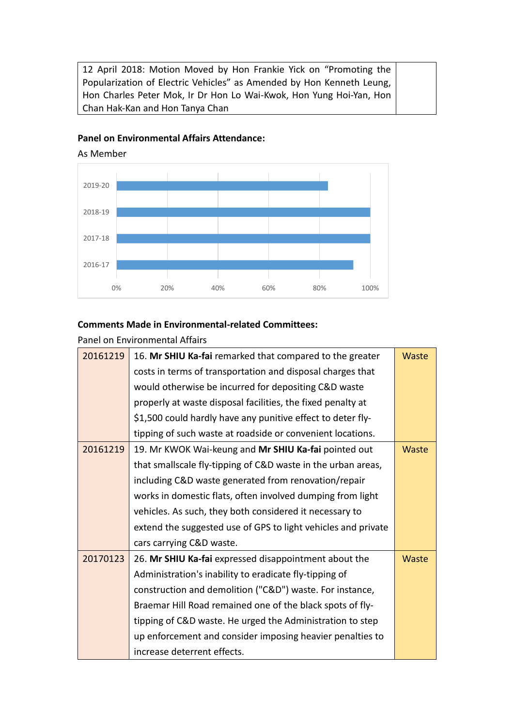12 April 2018: Motion Moved by Hon Frankie Yick on "Promoting the Popularization of Electric Vehicles" as Amended by Hon Kenneth Leung, Hon Charles Peter Mok, Ir Dr Hon Lo Wai-Kwok, Hon Yung Hoi-Yan, Hon Chan Hak-Kan and Hon Tanya Chan

#### **Panel on Environmental Affairs Attendance:**

0% 20% 40% 60% 80% 100% 2016-17 2017-18 2018-19 2019-20

As Member

### **Comments Made in Environmental-related Committees:**

Panel on Environmental Affairs

| 20161219 | 16. Mr SHIU Ka-fai remarked that compared to the greater      | <b>Waste</b> |
|----------|---------------------------------------------------------------|--------------|
|          | costs in terms of transportation and disposal charges that    |              |
|          | would otherwise be incurred for depositing C&D waste          |              |
|          | properly at waste disposal facilities, the fixed penalty at   |              |
|          | \$1,500 could hardly have any punitive effect to deter fly-   |              |
|          | tipping of such waste at roadside or convenient locations.    |              |
| 20161219 | 19. Mr KWOK Wai-keung and Mr SHIU Ka-fai pointed out          | <b>Waste</b> |
|          | that smallscale fly-tipping of C&D waste in the urban areas,  |              |
|          | including C&D waste generated from renovation/repair          |              |
|          | works in domestic flats, often involved dumping from light    |              |
|          | vehicles. As such, they both considered it necessary to       |              |
|          | extend the suggested use of GPS to light vehicles and private |              |
|          | cars carrying C&D waste.                                      |              |
| 20170123 | 26. Mr SHIU Ka-fai expressed disappointment about the         | <b>Waste</b> |
|          | Administration's inability to eradicate fly-tipping of        |              |
|          | construction and demolition ("C&D") waste. For instance,      |              |
|          | Braemar Hill Road remained one of the black spots of fly-     |              |
|          | tipping of C&D waste. He urged the Administration to step     |              |
|          | up enforcement and consider imposing heavier penalties to     |              |
|          | increase deterrent effects.                                   |              |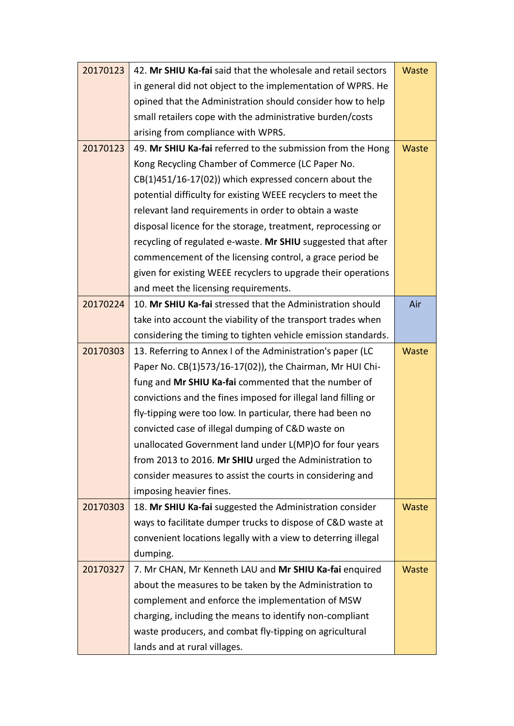| 20170123 | 42. Mr SHIU Ka-fai said that the wholesale and retail sectors | <b>Waste</b> |
|----------|---------------------------------------------------------------|--------------|
|          | in general did not object to the implementation of WPRS. He   |              |
|          | opined that the Administration should consider how to help    |              |
|          | small retailers cope with the administrative burden/costs     |              |
|          | arising from compliance with WPRS.                            |              |
| 20170123 | 49. Mr SHIU Ka-fai referred to the submission from the Hong   | Waste        |
|          | Kong Recycling Chamber of Commerce (LC Paper No.              |              |
|          | CB(1)451/16-17(02)) which expressed concern about the         |              |
|          | potential difficulty for existing WEEE recyclers to meet the  |              |
|          | relevant land requirements in order to obtain a waste         |              |
|          | disposal licence for the storage, treatment, reprocessing or  |              |
|          | recycling of regulated e-waste. Mr SHIU suggested that after  |              |
|          | commencement of the licensing control, a grace period be      |              |
|          | given for existing WEEE recyclers to upgrade their operations |              |
|          | and meet the licensing requirements.                          |              |
| 20170224 | 10. Mr SHIU Ka-fai stressed that the Administration should    | Air          |
|          | take into account the viability of the transport trades when  |              |
|          | considering the timing to tighten vehicle emission standards. |              |
| 20170303 | 13. Referring to Annex I of the Administration's paper (LC    | <b>Waste</b> |
|          | Paper No. CB(1)573/16-17(02)), the Chairman, Mr HUI Chi-      |              |
|          | fung and Mr SHIU Ka-fai commented that the number of          |              |
|          | convictions and the fines imposed for illegal land filling or |              |
|          | fly-tipping were too low. In particular, there had been no    |              |
|          | convicted case of illegal dumping of C&D waste on             |              |
|          | unallocated Government land under L(MP)O for four years       |              |
|          | from 2013 to 2016. Mr SHIU urged the Administration to        |              |
|          | consider measures to assist the courts in considering and     |              |
|          | imposing heavier fines.                                       |              |
| 20170303 | 18. Mr SHIU Ka-fai suggested the Administration consider      | Waste        |
|          | ways to facilitate dumper trucks to dispose of C&D waste at   |              |
|          | convenient locations legally with a view to deterring illegal |              |
|          | dumping.                                                      |              |
| 20170327 | 7. Mr CHAN, Mr Kenneth LAU and Mr SHIU Ka-fai enquired        | Waste        |
|          | about the measures to be taken by the Administration to       |              |
|          | complement and enforce the implementation of MSW              |              |
|          | charging, including the means to identify non-compliant       |              |
|          | waste producers, and combat fly-tipping on agricultural       |              |
|          | lands and at rural villages.                                  |              |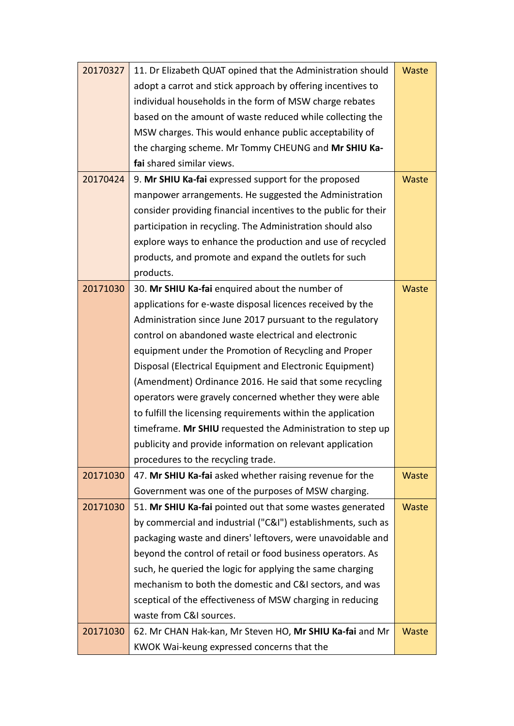| 20170327 | 11. Dr Elizabeth QUAT opined that the Administration should     | Waste        |
|----------|-----------------------------------------------------------------|--------------|
|          | adopt a carrot and stick approach by offering incentives to     |              |
|          | individual households in the form of MSW charge rebates         |              |
|          | based on the amount of waste reduced while collecting the       |              |
|          | MSW charges. This would enhance public acceptability of         |              |
|          | the charging scheme. Mr Tommy CHEUNG and Mr SHIU Ka-            |              |
|          | fai shared similar views.                                       |              |
| 20170424 | 9. Mr SHIU Ka-fai expressed support for the proposed            | Waste        |
|          | manpower arrangements. He suggested the Administration          |              |
|          | consider providing financial incentives to the public for their |              |
|          | participation in recycling. The Administration should also      |              |
|          | explore ways to enhance the production and use of recycled      |              |
|          | products, and promote and expand the outlets for such           |              |
|          | products.                                                       |              |
| 20171030 | 30. Mr SHIU Ka-fai enquired about the number of                 | <b>Waste</b> |
|          | applications for e-waste disposal licences received by the      |              |
|          | Administration since June 2017 pursuant to the regulatory       |              |
|          | control on abandoned waste electrical and electronic            |              |
|          | equipment under the Promotion of Recycling and Proper           |              |
|          | Disposal (Electrical Equipment and Electronic Equipment)        |              |
|          | (Amendment) Ordinance 2016. He said that some recycling         |              |
|          | operators were gravely concerned whether they were able         |              |
|          | to fulfill the licensing requirements within the application    |              |
|          | timeframe. Mr SHIU requested the Administration to step up      |              |
|          | publicity and provide information on relevant application       |              |
|          | procedures to the recycling trade.                              |              |
| 20171030 | 47. Mr SHIU Ka-fai asked whether raising revenue for the        | Waste        |
|          | Government was one of the purposes of MSW charging.             |              |
| 20171030 | 51. Mr SHIU Ka-fai pointed out that some wastes generated       | <b>Waste</b> |
|          | by commercial and industrial ("C&I") establishments, such as    |              |
|          | packaging waste and diners' leftovers, were unavoidable and     |              |
|          | beyond the control of retail or food business operators. As     |              |
|          | such, he queried the logic for applying the same charging       |              |
|          | mechanism to both the domestic and C&I sectors, and was         |              |
|          | sceptical of the effectiveness of MSW charging in reducing      |              |
|          | waste from C&I sources.                                         |              |
| 20171030 | 62. Mr CHAN Hak-kan, Mr Steven HO, Mr SHIU Ka-fai and Mr        | <b>Waste</b> |
|          | KWOK Wai-keung expressed concerns that the                      |              |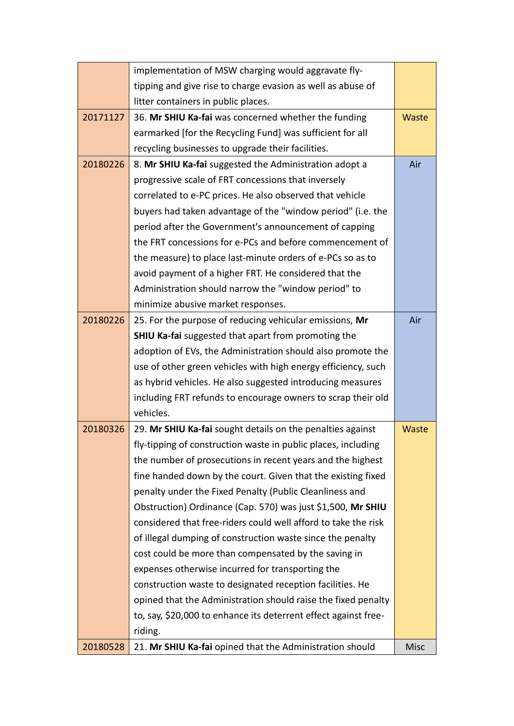|          | implementation of MSW charging would aggravate fly-             |             |
|----------|-----------------------------------------------------------------|-------------|
|          | tipping and give rise to charge evasion as well as abuse of     |             |
|          | litter containers in public places.                             |             |
| 20171127 | 36. Mr SHIU Ka-fai was concerned whether the funding            | Waste       |
|          | earmarked [for the Recycling Fund] was sufficient for all       |             |
|          | recycling businesses to upgrade their facilities.               |             |
| 20180226 | 8. Mr SHIU Ka-fai suggested the Administration adopt a          | Air         |
|          | progressive scale of FRT concessions that inversely             |             |
|          | correlated to e-PC prices. He also observed that vehicle        |             |
|          | buyers had taken advantage of the "window period" (i.e. the     |             |
|          | period after the Government's announcement of capping           |             |
|          | the FRT concessions for e-PCs and before commencement of        |             |
|          | the measure) to place last-minute orders of e-PCs so as to      |             |
|          | avoid payment of a higher FRT. He considered that the           |             |
|          | Administration should narrow the "window period" to             |             |
|          | minimize abusive market responses.                              |             |
| 20180226 | 25. For the purpose of reducing vehicular emissions, Mr         | Air         |
|          | <b>SHIU Ka-fai</b> suggested that apart from promoting the      |             |
|          | adoption of EVs, the Administration should also promote the     |             |
|          | use of other green vehicles with high energy efficiency, such   |             |
|          | as hybrid vehicles. He also suggested introducing measures      |             |
|          | including FRT refunds to encourage owners to scrap their old    |             |
|          | vehicles.                                                       |             |
| 20180326 | 29. Mr SHIU Ka-fai sought details on the penalties against      | Waste       |
|          | fly-tipping of construction waste in public places, including   |             |
|          | the number of prosecutions in recent years and the highest      |             |
|          | fine handed down by the court. Given that the existing fixed    |             |
|          | penalty under the Fixed Penalty (Public Cleanliness and         |             |
|          | Obstruction) Ordinance (Cap. 570) was just \$1,500, Mr SHIU     |             |
|          | considered that free-riders could well afford to take the risk  |             |
|          | of illegal dumping of construction waste since the penalty      |             |
|          | cost could be more than compensated by the saving in            |             |
|          | expenses otherwise incurred for transporting the                |             |
|          | construction waste to designated reception facilities. He       |             |
|          | opined that the Administration should raise the fixed penalty   |             |
|          | to, say, \$20,000 to enhance its deterrent effect against free- |             |
|          | riding.                                                         |             |
| 20180528 | 21. Mr SHIU Ka-fai opined that the Administration should        | <b>Misc</b> |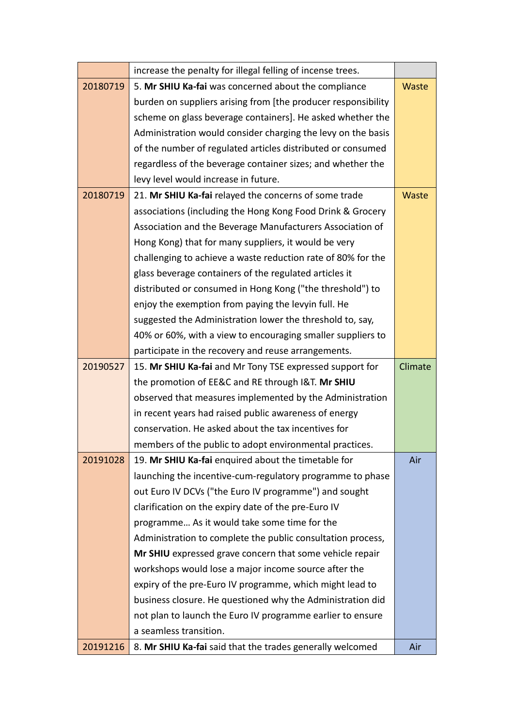|          | increase the penalty for illegal felling of incense trees.                          |         |  |  |
|----------|-------------------------------------------------------------------------------------|---------|--|--|
| 20180719 | 5. Mr SHIU Ka-fai was concerned about the compliance                                |         |  |  |
|          | burden on suppliers arising from [the producer responsibility                       |         |  |  |
|          | scheme on glass beverage containers]. He asked whether the                          |         |  |  |
|          | Administration would consider charging the levy on the basis                        |         |  |  |
|          | of the number of regulated articles distributed or consumed                         |         |  |  |
|          | regardless of the beverage container sizes; and whether the                         |         |  |  |
|          | levy level would increase in future.                                                |         |  |  |
| 20180719 | 21. Mr SHIU Ka-fai relayed the concerns of some trade                               | Waste   |  |  |
|          | associations (including the Hong Kong Food Drink & Grocery                          |         |  |  |
|          | Association and the Beverage Manufacturers Association of                           |         |  |  |
|          | Hong Kong) that for many suppliers, it would be very                                |         |  |  |
|          | challenging to achieve a waste reduction rate of 80% for the                        |         |  |  |
|          | glass beverage containers of the regulated articles it                              |         |  |  |
|          | distributed or consumed in Hong Kong ("the threshold") to                           |         |  |  |
|          | enjoy the exemption from paying the levyin full. He                                 |         |  |  |
|          | suggested the Administration lower the threshold to, say,                           |         |  |  |
|          | 40% or 60%, with a view to encouraging smaller suppliers to                         |         |  |  |
|          | participate in the recovery and reuse arrangements.                                 |         |  |  |
| 20190527 | 15. Mr SHIU Ka-fai and Mr Tony TSE expressed support for                            | Climate |  |  |
|          | the promotion of EE&C and RE through I&T. Mr SHIU                                   |         |  |  |
|          | observed that measures implemented by the Administration                            |         |  |  |
|          | in recent years had raised public awareness of energy                               |         |  |  |
|          | conservation. He asked about the tax incentives for                                 |         |  |  |
|          | members of the public to adopt environmental practices.                             |         |  |  |
| 20191028 | 19. Mr SHIU Ka-fai enquired about the timetable for                                 | Air     |  |  |
|          | launching the incentive-cum-regulatory programme to phase                           |         |  |  |
|          | out Euro IV DCVs ("the Euro IV programme") and sought                               |         |  |  |
|          | clarification on the expiry date of the pre-Euro IV                                 |         |  |  |
|          | programme As it would take some time for the                                        |         |  |  |
|          | Administration to complete the public consultation process,                         |         |  |  |
|          | Mr SHIU expressed grave concern that some vehicle repair                            |         |  |  |
|          | workshops would lose a major income source after the                                |         |  |  |
|          | expiry of the pre-Euro IV programme, which might lead to                            |         |  |  |
|          | business closure. He questioned why the Administration did                          |         |  |  |
|          | not plan to launch the Euro IV programme earlier to ensure                          |         |  |  |
|          |                                                                                     |         |  |  |
| 20191216 | a seamless transition.<br>8. Mr SHIU Ka-fai said that the trades generally welcomed |         |  |  |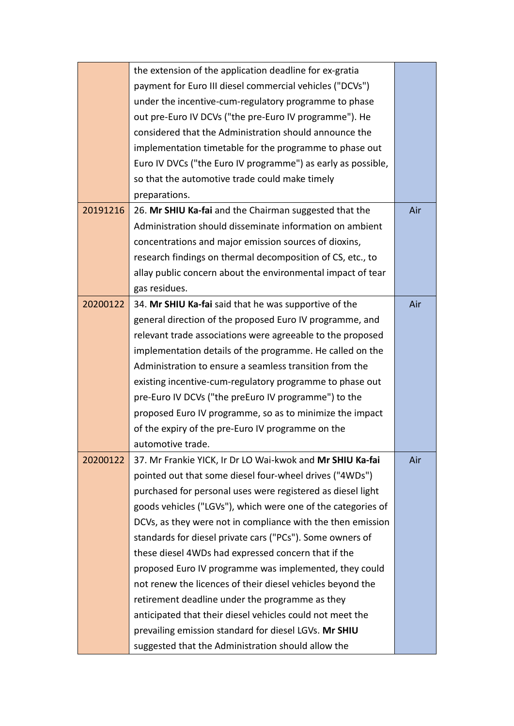|          | the extension of the application deadline for ex-gratia      |     |
|----------|--------------------------------------------------------------|-----|
|          | payment for Euro III diesel commercial vehicles ("DCVs")     |     |
|          | under the incentive-cum-regulatory programme to phase        |     |
|          | out pre-Euro IV DCVs ("the pre-Euro IV programme"). He       |     |
|          | considered that the Administration should announce the       |     |
|          | implementation timetable for the programme to phase out      |     |
|          | Euro IV DVCs ("the Euro IV programme") as early as possible, |     |
|          | so that the automotive trade could make timely               |     |
|          | preparations.                                                |     |
| 20191216 | 26. Mr SHIU Ka-fai and the Chairman suggested that the       | Air |
|          | Administration should disseminate information on ambient     |     |
|          | concentrations and major emission sources of dioxins,        |     |
|          | research findings on thermal decomposition of CS, etc., to   |     |
|          | allay public concern about the environmental impact of tear  |     |
|          | gas residues.                                                |     |
| 20200122 | 34. Mr SHIU Ka-fai said that he was supportive of the        | Air |
|          | general direction of the proposed Euro IV programme, and     |     |
|          | relevant trade associations were agreeable to the proposed   |     |
|          | implementation details of the programme. He called on the    |     |
|          | Administration to ensure a seamless transition from the      |     |
|          | existing incentive-cum-regulatory programme to phase out     |     |
|          | pre-Euro IV DCVs ("the preEuro IV programme") to the         |     |
|          | proposed Euro IV programme, so as to minimize the impact     |     |
|          | of the expiry of the pre-Euro IV programme on the            |     |
|          | automotive trade.                                            |     |
| 20200122 | 37. Mr Frankie YICK, Ir Dr LO Wai-kwok and Mr SHIU Ka-fai    | Air |
|          | pointed out that some diesel four-wheel drives ("4WDs")      |     |
|          | purchased for personal uses were registered as diesel light  |     |
|          | goods vehicles ("LGVs"), which were one of the categories of |     |
|          | DCVs, as they were not in compliance with the then emission  |     |
|          | standards for diesel private cars ("PCs"). Some owners of    |     |
|          | these diesel 4WDs had expressed concern that if the          |     |
|          | proposed Euro IV programme was implemented, they could       |     |
|          | not renew the licences of their diesel vehicles beyond the   |     |
|          | retirement deadline under the programme as they              |     |
|          | anticipated that their diesel vehicles could not meet the    |     |
|          | prevailing emission standard for diesel LGVs. Mr SHIU        |     |
|          | suggested that the Administration should allow the           |     |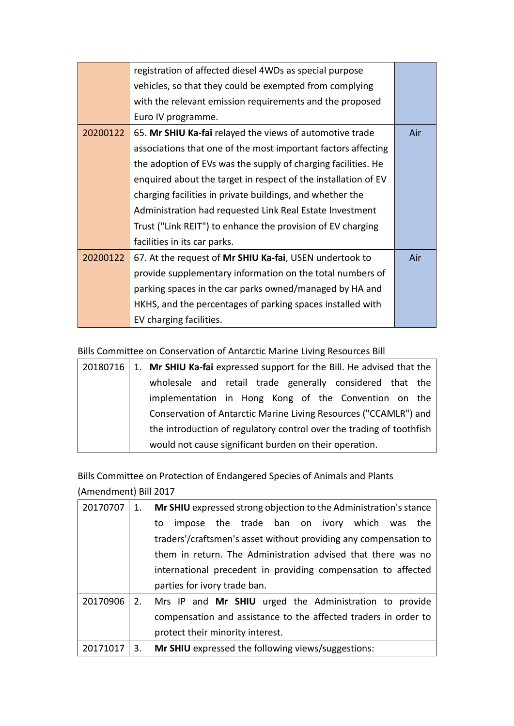|          | registration of affected diesel 4WDs as special purpose        |     |
|----------|----------------------------------------------------------------|-----|
|          | vehicles, so that they could be exempted from complying        |     |
|          | with the relevant emission requirements and the proposed       |     |
|          | Euro IV programme.                                             |     |
| 20200122 | 65. Mr SHIU Ka-fai relayed the views of automotive trade       | Air |
|          | associations that one of the most important factors affecting  |     |
|          | the adoption of EVs was the supply of charging facilities. He  |     |
|          | enquired about the target in respect of the installation of EV |     |
|          | charging facilities in private buildings, and whether the      |     |
|          | Administration had requested Link Real Estate Investment       |     |
|          | Trust ("Link REIT") to enhance the provision of EV charging    |     |
|          | facilities in its car parks.                                   |     |
| 20200122 | 67. At the request of Mr SHIU Ka-fai, USEN undertook to        | Air |
|          | provide supplementary information on the total numbers of      |     |
|          | parking spaces in the car parks owned/managed by HA and        |     |
|          | HKHS, and the percentages of parking spaces installed with     |     |
|          | EV charging facilities.                                        |     |

Bills Committee on Conservation of Antarctic Marine Living Resources Bill

|  | 20180716   1. Mr SHIU Ka-fai expressed support for the Bill. He advised that the |
|--|----------------------------------------------------------------------------------|
|  | wholesale and retail trade generally considered that the                         |
|  | implementation in Hong Kong of the Convention on the                             |
|  | Conservation of Antarctic Marine Living Resources ("CCAMLR") and                 |
|  | the introduction of regulatory control over the trading of toothfish             |
|  | would not cause significant burden on their operation.                           |

Bills Committee on Protection of Endangered Species of Animals and Plants (Amendment) Bill 2017

| 20170707 | 1. | Mr SHIU expressed strong objection to the Administration's stance |
|----------|----|-------------------------------------------------------------------|
|          |    | impose the trade ban on ivory which was<br>the<br>to              |
|          |    | traders'/craftsmen's asset without providing any compensation to  |
|          |    | them in return. The Administration advised that there was no      |
|          |    | international precedent in providing compensation to affected     |
|          |    | parties for ivory trade ban.                                      |
| 20170906 |    | 2. Mrs IP and Mr SHIU urged the Administration to provide         |
|          |    | compensation and assistance to the affected traders in order to   |
|          |    | protect their minority interest.                                  |
| 20171017 | 3. | Mr SHIU expressed the following views/suggestions:                |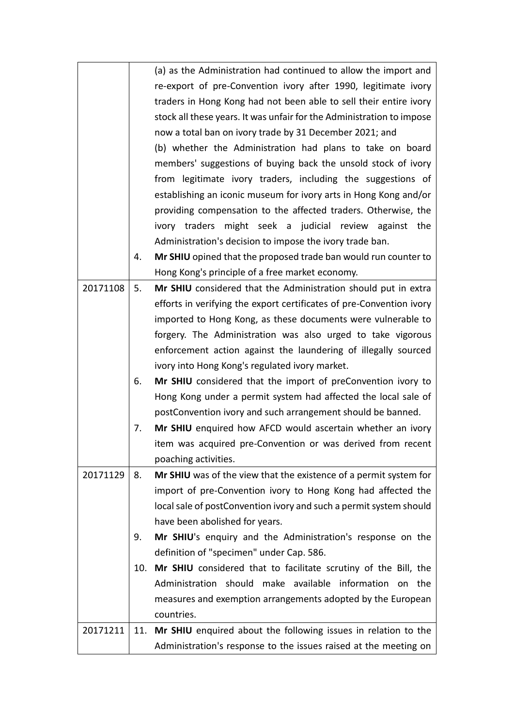|          |     | (a) as the Administration had continued to allow the import and       |
|----------|-----|-----------------------------------------------------------------------|
|          |     | re-export of pre-Convention ivory after 1990, legitimate ivory        |
|          |     | traders in Hong Kong had not been able to sell their entire ivory     |
|          |     |                                                                       |
|          |     | stock all these years. It was unfair for the Administration to impose |
|          |     | now a total ban on ivory trade by 31 December 2021; and               |
|          |     | (b) whether the Administration had plans to take on board             |
|          |     | members' suggestions of buying back the unsold stock of ivory         |
|          |     | from legitimate ivory traders, including the suggestions of           |
|          |     | establishing an iconic museum for ivory arts in Hong Kong and/or      |
|          |     | providing compensation to the affected traders. Otherwise, the        |
|          |     | ivory traders might seek a judicial review against the                |
|          |     | Administration's decision to impose the ivory trade ban.              |
|          | 4.  | Mr SHIU opined that the proposed trade ban would run counter to       |
|          |     | Hong Kong's principle of a free market economy.                       |
| 20171108 | 5.  | Mr SHIU considered that the Administration should put in extra        |
|          |     | efforts in verifying the export certificates of pre-Convention ivory  |
|          |     | imported to Hong Kong, as these documents were vulnerable to          |
|          |     | forgery. The Administration was also urged to take vigorous           |
|          |     | enforcement action against the laundering of illegally sourced        |
|          |     | ivory into Hong Kong's regulated ivory market.                        |
|          | 6.  | Mr SHIU considered that the import of preConvention ivory to          |
|          |     | Hong Kong under a permit system had affected the local sale of        |
|          |     | postConvention ivory and such arrangement should be banned.           |
|          | 7.  | Mr SHIU enquired how AFCD would ascertain whether an ivory            |
|          |     | item was acquired pre-Convention or was derived from recent           |
|          |     | poaching activities.                                                  |
| 20171129 | 8.  | Mr SHIU was of the view that the existence of a permit system for     |
|          |     | import of pre-Convention ivory to Hong Kong had affected the          |
|          |     | local sale of postConvention ivory and such a permit system should    |
|          |     | have been abolished for years.                                        |
|          | 9.  | Mr SHIU's enquiry and the Administration's response on the            |
|          |     | definition of "specimen" under Cap. 586.                              |
|          | 10. | Mr SHIU considered that to facilitate scrutiny of the Bill, the       |
|          |     | Administration should make available information on the               |
|          |     | measures and exemption arrangements adopted by the European           |
|          |     | countries.                                                            |
| 20171211 | 11. | Mr SHIU enquired about the following issues in relation to the        |
|          |     | Administration's response to the issues raised at the meeting on      |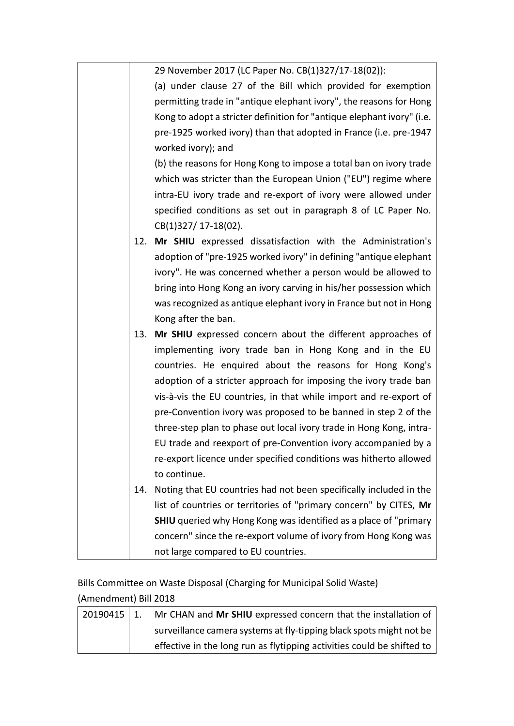|     | 29 November 2017 (LC Paper No. CB(1)327/17-18(02)):                                     |
|-----|-----------------------------------------------------------------------------------------|
|     | (a) under clause 27 of the Bill which provided for exemption                            |
|     | permitting trade in "antique elephant ivory", the reasons for Hong                      |
|     | Kong to adopt a stricter definition for "antique elephant ivory" (i.e.                  |
|     | pre-1925 worked ivory) than that adopted in France (i.e. pre-1947<br>worked ivory); and |
|     | (b) the reasons for Hong Kong to impose a total ban on ivory trade                      |
|     | which was stricter than the European Union ("EU") regime where                          |
|     | intra-EU ivory trade and re-export of ivory were allowed under                          |
|     | specified conditions as set out in paragraph 8 of LC Paper No.                          |
|     | CB(1)327/ 17-18(02).                                                                    |
| 12. | Mr SHIU expressed dissatisfaction with the Administration's                             |
|     | adoption of "pre-1925 worked ivory" in defining "antique elephant                       |
|     | ivory". He was concerned whether a person would be allowed to                           |
|     | bring into Hong Kong an ivory carving in his/her possession which                       |
|     | was recognized as antique elephant ivory in France but not in Hong                      |
|     | Kong after the ban.                                                                     |
|     | 13. Mr SHIU expressed concern about the different approaches of                         |
|     | implementing ivory trade ban in Hong Kong and in the EU                                 |
|     | countries. He enquired about the reasons for Hong Kong's                                |
|     | adoption of a stricter approach for imposing the ivory trade ban                        |
|     | vis-à-vis the EU countries, in that while import and re-export of                       |
|     | pre-Convention ivory was proposed to be banned in step 2 of the                         |
|     | three-step plan to phase out local ivory trade in Hong Kong, intra-                     |
|     | EU trade and reexport of pre-Convention ivory accompanied by a                          |
|     | re-export licence under specified conditions was hitherto allowed                       |
|     | to continue.                                                                            |
| 14. | Noting that EU countries had not been specifically included in the                      |
|     | list of countries or territories of "primary concern" by CITES, Mr                      |
|     | <b>SHIU</b> queried why Hong Kong was identified as a place of "primary                 |
|     | concern" since the re-export volume of ivory from Hong Kong was                         |
|     | not large compared to EU countries.                                                     |
|     |                                                                                         |

Bills Committee on Waste Disposal (Charging for Municipal Solid Waste) (Amendment) Bill 2018

| 20190415   1. | Mr CHAN and Mr SHIU expressed concern that the installation of         |
|---------------|------------------------------------------------------------------------|
|               | surveillance camera systems at fly-tipping black spots might not be    |
|               | effective in the long run as flytipping activities could be shifted to |